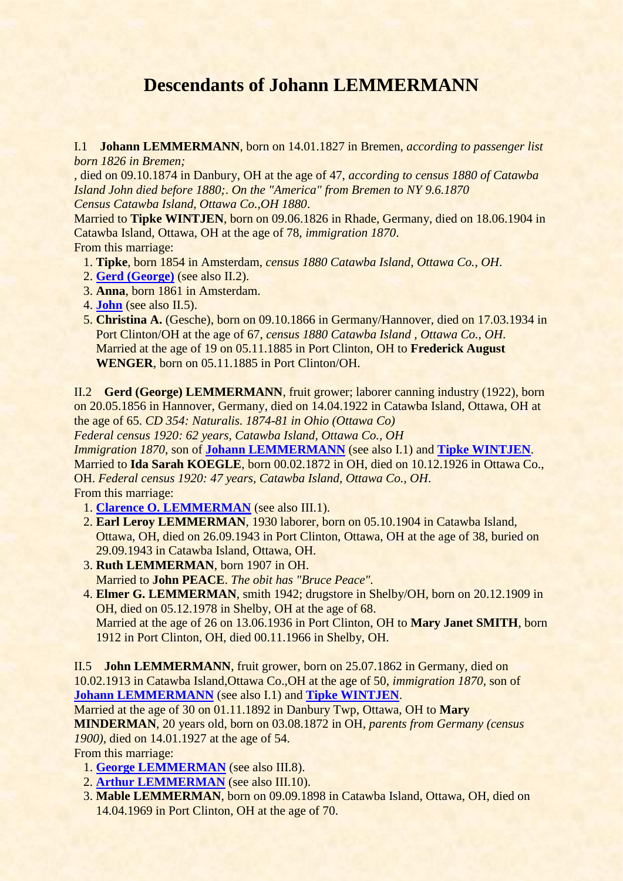## **Descendants of Johann LEMMERMANN**

<span id="page-0-2"></span>I.1 **Johann LEMMERMANN**, born on 14.01.1827 in Bremen, *according to passenger list born 1826 in Bremen;*

, died on 09.10.1874 in Danbury, OH at the age of 47, *according to census 1880 of Catawba Island John died before 1880;*. *On the "America" from Bremen to NY 9.6.1870 Census Catawba Island, Ottawa Co.,OH 1880*.

<span id="page-0-3"></span>Married to **Tipke WINTJEN**, born on 09.06.1826 in Rhade, Germany, died on 18.06.1904 in Catawba Island, Ottawa, OH at the age of 78, *immigration 1870*. From this marriage:

- 1. **Tipke**, born 1854 in Amsterdam, *census 1880 Catawba Island, Ottawa Co., OH*.
- 2. **[Gerd \(George\)](#page-0-0)** (see also II.2).
- 3. **Anna**, born 1861 in Amsterdam.
- 4. **[John](#page-0-1)** (see also II.5).
- 5. **Christina A.** (Gesche), born on 09.10.1866 in Germany/Hannover, died on 17.03.1934 in Port Clinton/OH at the age of 67, *census 1880 Catawba Island , Ottawa Co., OH*. Married at the age of 19 on 05.11.1885 in Port Clinton, OH to **Frederick August WENGER**, born on 05.11.1885 in Port Clinton/OH.

<span id="page-0-0"></span>II.2 **Gerd (George) LEMMERMANN**, fruit grower; laborer canning industry (1922), born on 20.05.1856 in Hannover, Germany, died on 14.04.1922 in Catawba Island, Ottawa, OH at the age of 65. *CD 354: Naturalis. 1874-81 in Ohio (Ottawa Co)*

*Federal census 1920: 62 years, Catawba Island, Ottawa Co., OH*

<span id="page-0-4"></span>*Immigration 1870*, son of **[Johann LEMMERMANN](#page-0-2)** (see also I.1) and **[Tipke WINTJEN](#page-0-3)**. Married to **Ida Sarah KOEGLE**, born 00.02.1872 in OH, died on 10.12.1926 in Ottawa Co., OH. *Federal census 1920: 47 years, Catawba Island, Ottawa Co., OH*. From this marriage:

- 1. **[Clarence O. LEMMERMAN](#page-1-0)** (see also III.1).
- 2. **Earl Leroy LEMMERMAN**, 1930 laborer, born on 05.10.1904 in Catawba Island, Ottawa, OH, died on 26.09.1943 in Port Clinton, Ottawa, OH at the age of 38, buried on 29.09.1943 in Catawba Island, Ottawa, OH.
- 3. **Ruth LEMMERMAN**, born 1907 in OH. Married to **John PEACE**. *The obit has "Bruce Peace".*
- 4. **Elmer G. LEMMERMAN**, smith 1942; drugstore in Shelby/OH, born on 20.12.1909 in OH, died on 05.12.1978 in Shelby, OH at the age of 68. Married at the age of 26 on 13.06.1936 in Port Clinton, OH to **Mary Janet SMITH**, born 1912 in Port Clinton, OH, died 00.11.1966 in Shelby, OH.

<span id="page-0-1"></span>II.5 **John LEMMERMANN**, fruit grower, born on 25.07.1862 in Germany, died on 10.02.1913 in Catawba Island,Ottawa Co.,OH at the age of 50, *immigration 1870*, son of **[Johann LEMMERMANN](#page-0-2)** (see also I.1) and **[Tipke WINTJEN](#page-0-3)**.

Married at the age of 30 on 01.11.1892 in Danbury Twp, Ottawa, OH to **Mary MINDERMAN**, 20 years old, born on 03.08.1872 in OH, *parents from Germany (census 1900)*, died on 14.01.1927 at the age of 54.

From this marriage:

- <span id="page-0-5"></span>1. **[George LEMMERMAN](#page-1-1)** (see also III.8).
- 2. **[Arthur LEMMERMAN](#page-1-2)** (see also III.10).
- 3. **Mable LEMMERMAN**, born on 09.09.1898 in Catawba Island, Ottawa, OH, died on 14.04.1969 in Port Clinton, OH at the age of 70.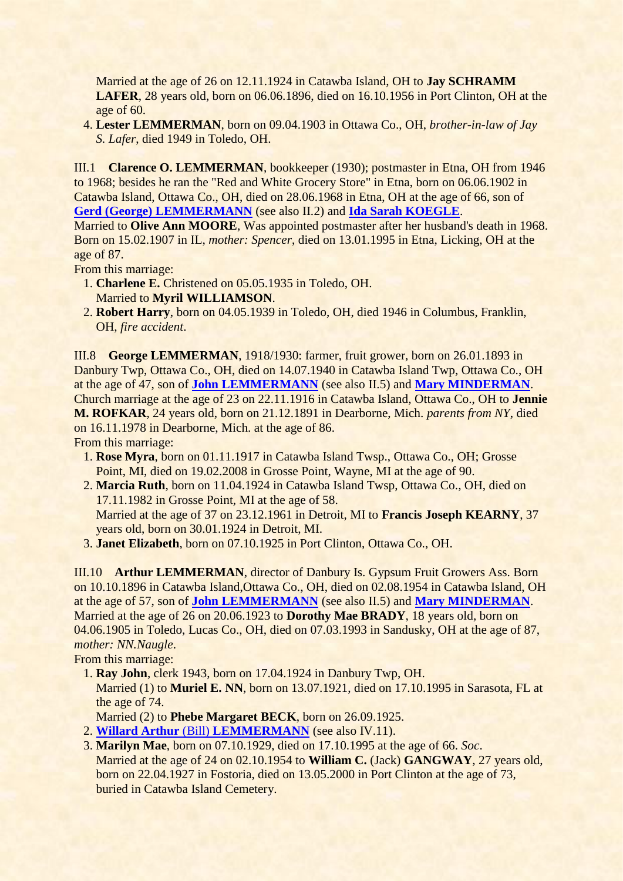Married at the age of 26 on 12.11.1924 in Catawba Island, OH to **Jay SCHRAMM LAFER**, 28 years old, born on 06.06.1896, died on 16.10.1956 in Port Clinton, OH at the age of 60.

 4. **Lester LEMMERMAN**, born on 09.04.1903 in Ottawa Co., OH, *brother-in-law of Jay S. Lafer*, died 1949 in Toledo, OH.

<span id="page-1-0"></span>III.1 **Clarence O. LEMMERMAN**, bookkeeper (1930); postmaster in Etna, OH from 1946 to 1968; besides he ran the "Red and White Grocery Store" in Etna, born on 06.06.1902 in Catawba Island, Ottawa Co., OH, died on 28.06.1968 in Etna, OH at the age of 66, son of **[Gerd \(George\) LEMMERMANN](#page-0-0)** (see also II.2) and **[Ida Sarah KOEGLE](#page-0-4)**.

Married to **Olive Ann MOORE**, Was appointed postmaster after her husband's death in 1968. Born on 15.02.1907 in IL, *mother: Spencer*, died on 13.01.1995 in Etna, Licking, OH at the age of 87.

From this marriage:

- 1. **Charlene E.** Christened on 05.05.1935 in Toledo, OH. Married to **Myril WILLIAMSON**.
- 2. **Robert Harry**, born on 04.05.1939 in Toledo, OH, died 1946 in Columbus, Franklin, OH, *fire accident*.

<span id="page-1-1"></span>III.8 **George LEMMERMAN**, 1918/1930: farmer, fruit grower, born on 26.01.1893 in Danbury Twp, Ottawa Co., OH, died on 14.07.1940 in Catawba Island Twp, Ottawa Co., OH at the age of 47, son of **[John LEMMERMANN](#page-0-1)** (see also II.5) and **[Mary MINDERMAN](#page-0-5)**. Church marriage at the age of 23 on 22.11.1916 in Catawba Island, Ottawa Co., OH to **Jennie M. ROFKAR**, 24 years old, born on 21.12.1891 in Dearborne, Mich. *parents from NY*, died on 16.11.1978 in Dearborne, Mich. at the age of 86. From this marriage:

- 1. **Rose Myra**, born on 01.11.1917 in Catawba Island Twsp., Ottawa Co., OH; Grosse Point, MI, died on 19.02.2008 in Grosse Point, Wayne, MI at the age of 90.
- 2. **Marcia Ruth**, born on 11.04.1924 in Catawba Island Twsp, Ottawa Co., OH, died on 17.11.1982 in Grosse Point, MI at the age of 58. Married at the age of 37 on 23.12.1961 in Detroit, MI to **Francis Joseph KEARNY**, 37 years old, born on 30.01.1924 in Detroit, MI.
- 3. **Janet Elizabeth**, born on 07.10.1925 in Port Clinton, Ottawa Co., OH.

<span id="page-1-2"></span>III.10 **Arthur LEMMERMAN**, director of Danbury Is. Gypsum Fruit Growers Ass. Born on 10.10.1896 in Catawba Island,Ottawa Co., OH, died on 02.08.1954 in Catawba Island, OH at the age of 57, son of **[John LEMMERMANN](#page-0-1)** (see also II.5) and **[Mary MINDERMAN](#page-0-5)**. Married at the age of 26 on 20.06.1923 to **Dorothy Mae BRADY**, 18 years old, born on 04.06.1905 in Toledo, Lucas Co., OH, died on 07.03.1993 in Sandusky, OH at the age of 87, *mother: NN.Naugle*.

From this marriage:

- <span id="page-1-3"></span> 1. **Ray John**, clerk 1943, born on 17.04.1924 in Danbury Twp, OH. Married (1) to **Muriel E. NN**, born on 13.07.1921, died on 17.10.1995 in Sarasota, FL at the age of 74.
- Married (2) to **Phebe Margaret BECK**, born on 26.09.1925.
- 2. **Willard Arthur** (Bill) **[LEMMERMANN](#page-2-0)** (see also IV.11).
- 3. **Marilyn Mae**, born on 07.10.1929, died on 17.10.1995 at the age of 66. *Soc*. Married at the age of 24 on 02.10.1954 to **William C.** (Jack) **GANGWAY**, 27 years old, born on 22.04.1927 in Fostoria, died on 13.05.2000 in Port Clinton at the age of 73, buried in Catawba Island Cemetery.